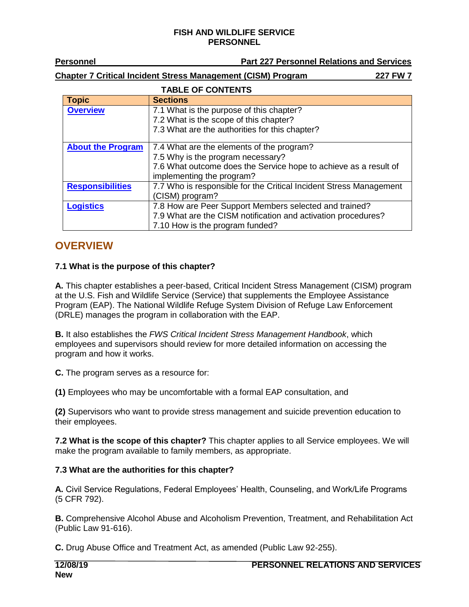**Personnel Part 227 Personnel Relations and Services** 

**Chapter 7 Critical Incident Stress Management (CISM) Program 227 FW 7**

### **TABLE OF CONTENTS**

| <b>Topic</b>             | <b>Sections</b>                                                    |  |
|--------------------------|--------------------------------------------------------------------|--|
| <b>Overview</b>          | 7.1 What is the purpose of this chapter?                           |  |
|                          | 7.2 What is the scope of this chapter?                             |  |
|                          | 7.3 What are the authorities for this chapter?                     |  |
| <b>About the Program</b> | 7.4 What are the elements of the program?                          |  |
|                          | 7.5 Why is the program necessary?                                  |  |
|                          | 7.6 What outcome does the Service hope to achieve as a result of   |  |
|                          | implementing the program?                                          |  |
| <b>Responsibilities</b>  | 7.7 Who is responsible for the Critical Incident Stress Management |  |
|                          | (CISM) program?                                                    |  |
| <b>Logistics</b>         | 7.8 How are Peer Support Members selected and trained?             |  |
|                          | 7.9 What are the CISM notification and activation procedures?      |  |
|                          | 7.10 How is the program funded?                                    |  |

# <span id="page-0-0"></span>**OVERVIEW**

### **7.1 What is the purpose of this chapter?**

**A.** This chapter establishes a peer-based, Critical Incident Stress Management (CISM) program at the U.S. Fish and Wildlife Service (Service) that supplements the Employee Assistance Program (EAP). The National Wildlife Refuge System Division of Refuge Law Enforcement (DRLE) manages the program in collaboration with the EAP.

**B.** It also establishes the *FWS Critical Incident Stress Management Handbook*, which employees and supervisors should review for more detailed information on accessing the program and how it works.

**C.** The program serves as a resource for:

**(1)** Employees who may be uncomfortable with a formal EAP consultation, and

**(2)** Supervisors who want to provide stress management and suicide prevention education to their employees.

**7.2 What is the scope of this chapter?** This chapter applies to all Service employees. We will make the program available to family members, as appropriate.

### **7.3 What are the authorities for this chapter?**

**A.** Civil Service Regulations, Federal Employees' Health, Counseling, and Work/Life Programs (5 CFR 792).

**B.** Comprehensive Alcohol Abuse and Alcoholism Prevention, Treatment, and Rehabilitation Act (Public Law 91-616).

**C.** Drug Abuse Office and Treatment Act, as amended (Public Law 92-255).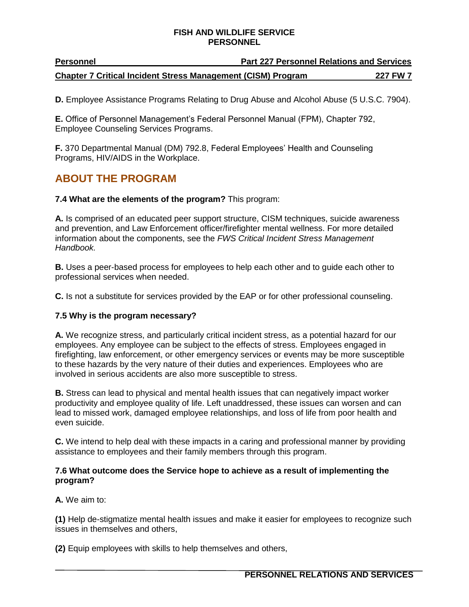| <b>Personnel</b>                                                    | <b>Part 227 Personnel Relations and Services</b> |                 |
|---------------------------------------------------------------------|--------------------------------------------------|-----------------|
| <b>Chapter 7 Critical Incident Stress Management (CISM) Program</b> |                                                  | <b>227 FW 7</b> |

**D.** Employee Assistance Programs Relating to Drug Abuse and Alcohol Abuse (5 U.S.C. 7904).

**E.** Office of Personnel Management's Federal Personnel Manual (FPM), Chapter 792, Employee Counseling Services Programs.

**F.** 370 Departmental Manual (DM) 792.8, Federal Employees' Health and Counseling Programs, HIV/AIDS in the Workplace.

# <span id="page-1-0"></span>**ABOUT THE PROGRAM**

#### **7.4 What are the elements of the program?** This program:

**A.** Is comprised of an educated peer support structure, CISM techniques, suicide awareness and prevention, and Law Enforcement officer/firefighter mental wellness. For more detailed information about the components, see the *FWS Critical Incident Stress Management Handbook.*

**B.** Uses a peer-based process for employees to help each other and to guide each other to professional services when needed.

**C.** Is not a substitute for services provided by the EAP or for other professional counseling.

#### **7.5 Why is the program necessary?**

**A.** We recognize stress, and particularly critical incident stress, as a potential hazard for our employees. Any employee can be subject to the effects of stress. Employees engaged in firefighting, law enforcement, or other emergency services or events may be more susceptible to these hazards by the very nature of their duties and experiences. Employees who are involved in serious accidents are also more susceptible to stress.

**B.** Stress can lead to physical and mental health issues that can negatively impact worker productivity and employee quality of life. Left unaddressed, these issues can worsen and can lead to missed work, damaged employee relationships, and loss of life from poor health and even suicide.

**C.** We intend to help deal with these impacts in a caring and professional manner by providing assistance to employees and their family members through this program.

#### **7.6 What outcome does the Service hope to achieve as a result of implementing the program?**

**A.** We aim to:

**(1)** Help de-stigmatize mental health issues and make it easier for employees to recognize such issues in themselves and others,

**(2)** Equip employees with skills to help themselves and others,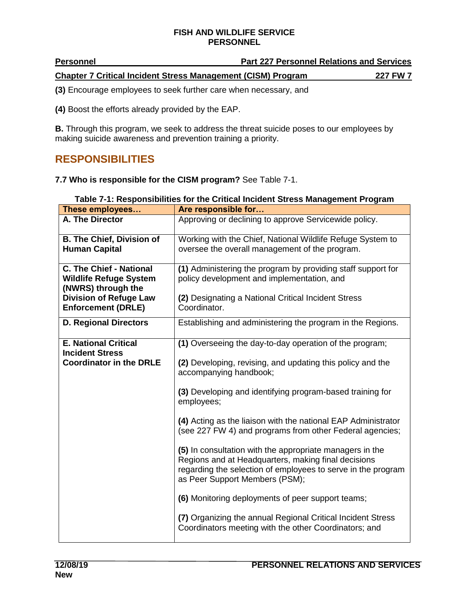| <b>Personnel</b>                                                    | <b>Part 227 Personnel Relations and Services</b> |                 |
|---------------------------------------------------------------------|--------------------------------------------------|-----------------|
| <b>Chapter 7 Critical Incident Stress Management (CISM) Program</b> |                                                  | <b>227 FW 7</b> |

**(3)** Encourage employees to seek further care when necessary, and

**(4)** Boost the efforts already provided by the EAP.

**B.** Through this program, we seek to address the threat suicide poses to our employees by making suicide awareness and prevention training a priority.

# <span id="page-2-0"></span>**RESPONSIBILITIES**

**7.7 Who is responsible for the CISM program?** See Table 7-1.

| These employees                                          | Are responsible for                                                                                                                                                                                               |
|----------------------------------------------------------|-------------------------------------------------------------------------------------------------------------------------------------------------------------------------------------------------------------------|
| A. The Director                                          | Approving or declining to approve Servicewide policy.                                                                                                                                                             |
| <b>B. The Chief, Division of</b>                         | Working with the Chief, National Wildlife Refuge System to                                                                                                                                                        |
| <b>Human Capital</b>                                     | oversee the overall management of the program.                                                                                                                                                                    |
| <b>C. The Chief - National</b>                           | (1) Administering the program by providing staff support for                                                                                                                                                      |
| <b>Wildlife Refuge System</b><br>(NWRS) through the      | policy development and implementation, and                                                                                                                                                                        |
| <b>Division of Refuge Law</b>                            | (2) Designating a National Critical Incident Stress                                                                                                                                                               |
| <b>Enforcement (DRLE)</b>                                | Coordinator.                                                                                                                                                                                                      |
| <b>D. Regional Directors</b>                             | Establishing and administering the program in the Regions.                                                                                                                                                        |
| <b>E. National Critical</b>                              | (1) Overseeing the day-to-day operation of the program;                                                                                                                                                           |
| <b>Incident Stress</b><br><b>Coordinator in the DRLE</b> |                                                                                                                                                                                                                   |
|                                                          | (2) Developing, revising, and updating this policy and the<br>accompanying handbook;                                                                                                                              |
|                                                          | (3) Developing and identifying program-based training for<br>employees;                                                                                                                                           |
|                                                          | (4) Acting as the liaison with the national EAP Administrator<br>(see 227 FW 4) and programs from other Federal agencies;                                                                                         |
|                                                          | (5) In consultation with the appropriate managers in the<br>Regions and at Headquarters, making final decisions<br>regarding the selection of employees to serve in the program<br>as Peer Support Members (PSM); |
|                                                          | (6) Monitoring deployments of peer support teams;                                                                                                                                                                 |
|                                                          | (7) Organizing the annual Regional Critical Incident Stress<br>Coordinators meeting with the other Coordinators; and                                                                                              |

|--|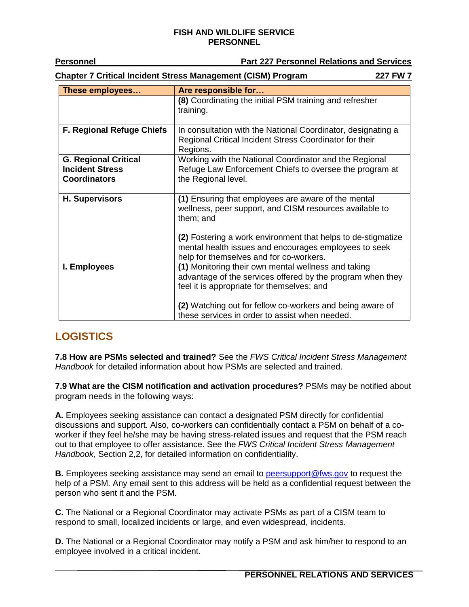| <b>Personnel</b>                                                                | <b>Part 227 Personnel Relations and Services</b>                                                                                                                 |  |
|---------------------------------------------------------------------------------|------------------------------------------------------------------------------------------------------------------------------------------------------------------|--|
| <b>Chapter 7 Critical Incident Stress Management (CISM) Program</b><br>227 FW 7 |                                                                                                                                                                  |  |
| These employees                                                                 | Are responsible for                                                                                                                                              |  |
|                                                                                 | (8) Coordinating the initial PSM training and refresher<br>training.                                                                                             |  |
| <b>F. Regional Refuge Chiefs</b>                                                | In consultation with the National Coordinator, designating a<br>Regional Critical Incident Stress Coordinator for their<br>Regions.                              |  |
| <b>G. Regional Critical</b><br><b>Incident Stress</b><br><b>Coordinators</b>    | Working with the National Coordinator and the Regional<br>Refuge Law Enforcement Chiefs to oversee the program at<br>the Regional level.                         |  |
| <b>H. Supervisors</b>                                                           | (1) Ensuring that employees are aware of the mental<br>wellness, peer support, and CISM resources available to<br>them; and                                      |  |
|                                                                                 | (2) Fostering a work environment that helps to de-stigmatize<br>mental health issues and encourages employees to seek<br>help for themselves and for co-workers. |  |
| I. Employees                                                                    | (1) Monitoring their own mental wellness and taking<br>advantage of the services offered by the program when they<br>feel it is appropriate for themselves; and  |  |
|                                                                                 | (2) Watching out for fellow co-workers and being aware of<br>these services in order to assist when needed.                                                      |  |

# <span id="page-3-0"></span>**LOGISTICS**

**7.8 How are PSMs selected and trained?** See the *FWS Critical Incident Stress Management Handbook* for detailed information about how PSMs are selected and trained.

**7.9 What are the CISM notification and activation procedures?** PSMs may be notified about program needs in the following ways:

**A.** Employees seeking assistance can contact a designated PSM directly for confidential discussions and support. Also, co-workers can confidentially contact a PSM on behalf of a coworker if they feel he/she may be having stress-related issues and request that the PSM reach out to that employee to offer assistance. See the *FWS Critical Incident Stress Management Handbook*, Section 2,2, for detailed information on confidentiality.

**B.** Employees seeking assistance may send an email to [peersupport@fws.gov](mailto:peersupport@fws.gov) to request the help of a PSM. Any email sent to this address will be held as a confidential request between the person who sent it and the PSM.

**C.** The National or a Regional Coordinator may activate PSMs as part of a CISM team to respond to small, localized incidents or large, and even widespread, incidents.

**D.** The National or a Regional Coordinator may notify a PSM and ask him/her to respond to an employee involved in a critical incident.